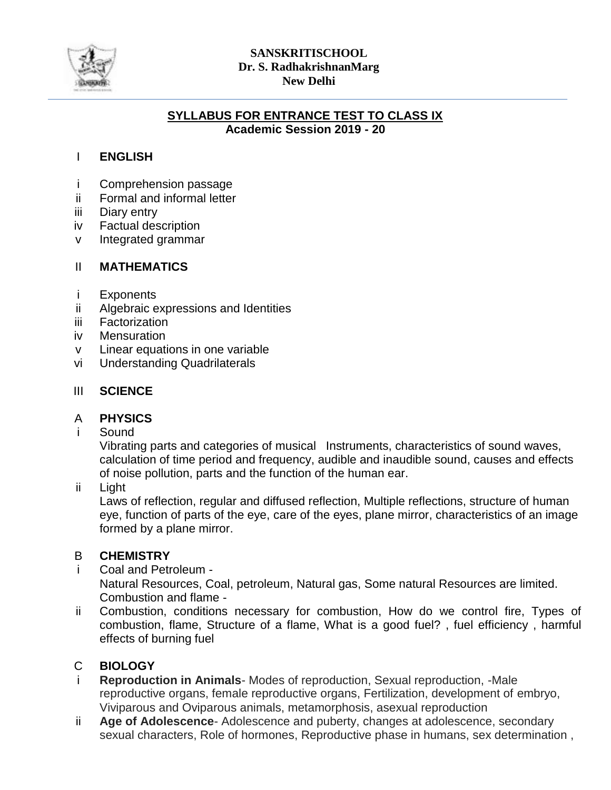

#### **SANSKRITISCHOOL Dr. S. RadhakrishnanMarg New Delhi**

#### **SYLLABUS FOR ENTRANCE TEST TO CLASS IX Academic Session 2019 - 20**

# I **ENGLISH**

- i Comprehension passage
- ii Formal and informal letter
- iii Diary entry
- iv Factual description
- v Integrated grammar

# II **MATHEMATICS**

- i **Exponents**
- ii Algebraic expressions and Identities
- iii **Factorization**
- iv **Mensuration**
- v Linear equations in one variable
- vi Understanding Quadrilaterals

# III **SCIENCE**

# A **PHYSICS**

i Sound

> Vibrating parts and categories of musical Instruments, characteristics of sound waves, calculation of time period and frequency, audible and inaudible sound, causes and effects of noise pollution, parts and the function of the human ear.

ii Light

Laws of reflection, regular and diffused reflection, Multiple reflections, structure of human eye, function of parts of the eye, care of the eyes, plane mirror, characteristics of an image formed by a plane mirror.

# B **CHEMISTRY**

- i Coal and Petroleum - Natural Resources, Coal, petroleum, Natural gas, Some natural Resources are limited. Combustion and flame -
- ii Combustion, conditions necessary for combustion, How do we control fire, Types of combustion, flame, Structure of a flame, What is a good fuel? , fuel efficiency , harmful effects of burning fuel

# C **BIOLOGY**

- i **Reproduction in Animals**- Modes of reproduction, Sexual reproduction, -Male reproductive organs, female reproductive organs, Fertilization, development of embryo, Viviparous and Oviparous animals, metamorphosis, asexual reproduction
- ii **Age of Adolescence**- Adolescence and puberty, changes at adolescence, secondary sexual characters, Role of hormones, Reproductive phase in humans, sex determination ,